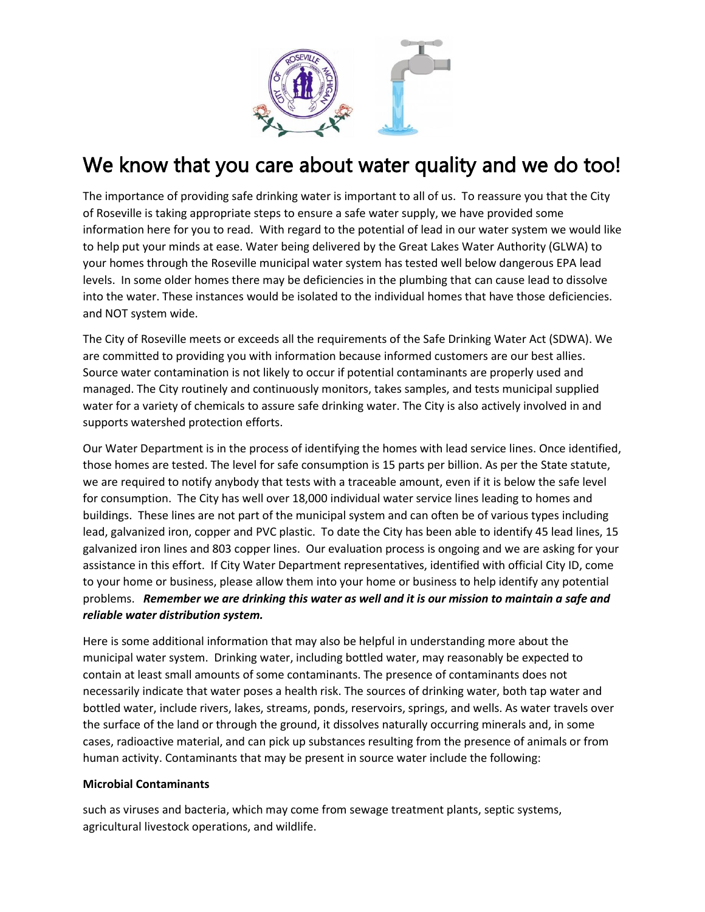

# We know that you care about water quality and we do too!

The importance of providing safe drinking water is important to all of us. To reassure you that the City of Roseville is taking appropriate steps to ensure a safe water supply, we have provided some information here for you to read. With regard to the potential of lead in our water system we would like to help put your minds at ease. Water being delivered by the Great Lakes Water Authority (GLWA) to your homes through the Roseville municipal water system has tested well below dangerous EPA lead levels. In some older homes there may be deficiencies in the plumbing that can cause lead to dissolve into the water. These instances would be isolated to the individual homes that have those deficiencies. and NOT system wide.

The City of Roseville meets or exceeds all the requirements of the Safe Drinking Water Act (SDWA). We are committed to providing you with information because informed customers are our best allies. Source water contamination is not likely to occur if potential contaminants are properly used and managed. The City routinely and continuously monitors, takes samples, and tests municipal supplied water for a variety of chemicals to assure safe drinking water. The City is also actively involved in and supports watershed protection efforts.

Our Water Department is in the process of identifying the homes with lead service lines. Once identified, those homes are tested. The level for safe consumption is 15 parts per billion. As per the State statute, we are required to notify anybody that tests with a traceable amount, even if it is below the safe level for consumption. The City has well over 18,000 individual water service lines leading to homes and buildings. These lines are not part of the municipal system and can often be of various types including lead, galvanized iron, copper and PVC plastic. To date the City has been able to identify 45 lead lines, 15 galvanized iron lines and 803 copper lines. Our evaluation process is ongoing and we are asking for your assistance in this effort. If City Water Department representatives, identified with official City ID, come to your home or business, please allow them into your home or business to help identify any potential problems. *Remember we are drinking this water as well and it is our mission to maintain a safe and reliable water distribution system.*

Here is some additional information that may also be helpful in understanding more about the municipal water system. Drinking water, including bottled water, may reasonably be expected to contain at least small amounts of some contaminants. The presence of contaminants does not necessarily indicate that water poses a health risk. The sources of drinking water, both tap water and bottled water, include rivers, lakes, streams, ponds, reservoirs, springs, and wells. As water travels over the surface of the land or through the ground, it dissolves naturally occurring minerals and, in some cases, radioactive material, and can pick up substances resulting from the presence of animals or from human activity. Contaminants that may be present in source water include the following:

### **Microbial Contaminants**

such as viruses and bacteria, which may come from sewage treatment plants, septic systems, agricultural livestock operations, and wildlife.